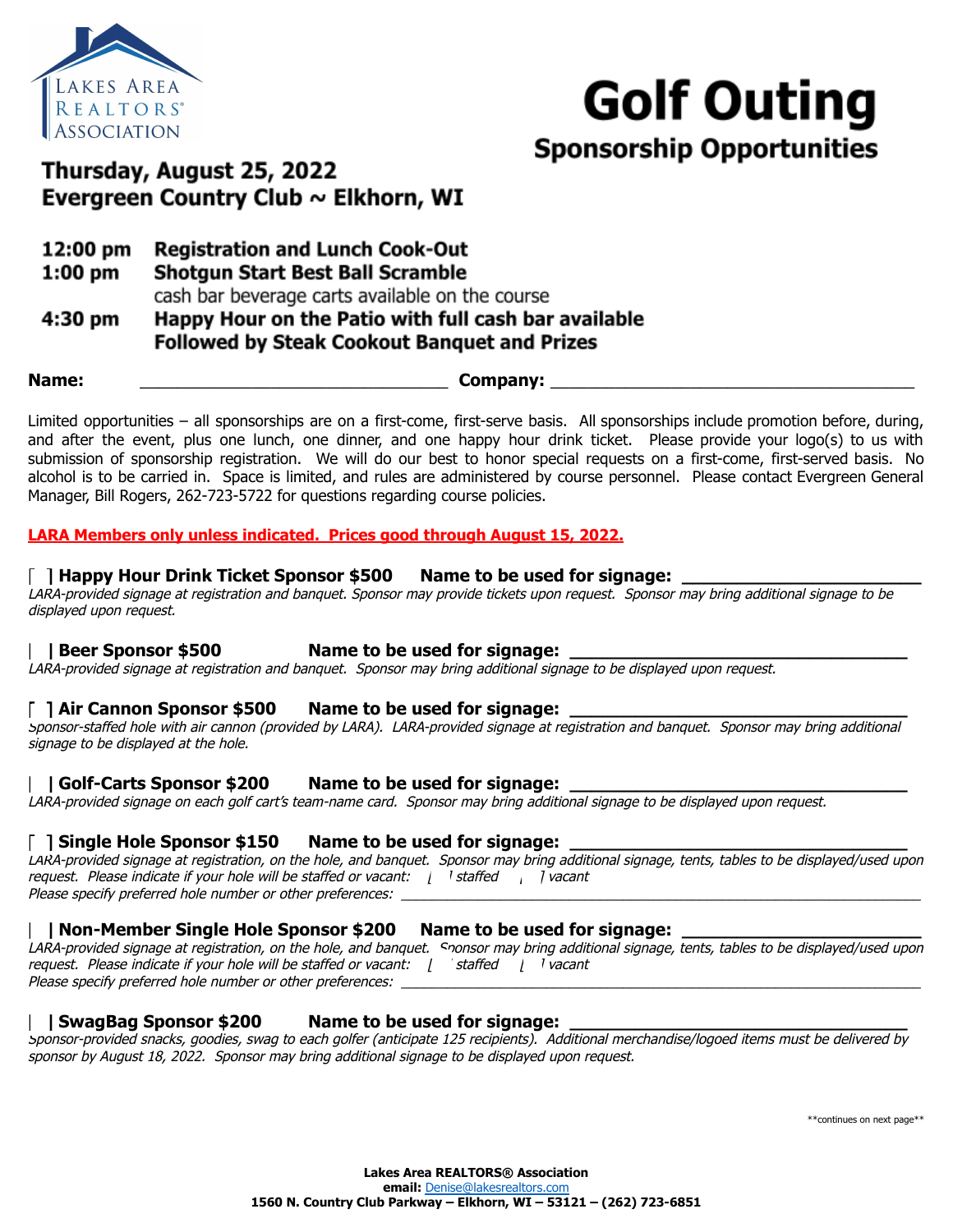



# Thursday, August 25, 2022 Evergreen Country Club ~ Elkhorn, WI

- **Registration and Lunch Cook-Out** 12:00 pm
- **Shotgun Start Best Ball Scramble**  $1:00$  pm

cash bar beverage carts available on the course

Happy Hour on the Patio with full cash bar available 4:30 pm **Followed by Steak Cookout Banguet and Prizes** 

**Name:** \_\_\_\_\_\_\_\_\_\_\_\_\_\_\_\_\_\_\_\_\_\_\_\_\_\_\_\_\_\_\_\_\_ **Company:** \_\_\_\_\_\_\_\_\_\_\_\_\_\_\_\_\_\_\_\_\_\_\_\_\_\_\_\_\_\_\_\_\_\_\_\_\_\_\_

Limited opportunities – all sponsorships are on a first-come, first-serve basis. All sponsorships include promotion before, during, and after the event, plus one lunch, one dinner, and one happy hour drink ticket. Please provide your logo(s) to us with submission of sponsorship registration. We will do our best to honor special requests on a first-come, first-served basis. No alcohol is to be carried in. Space is limited, and rules are administered by course personnel. Please contact Evergreen General Manager, Bill Rogers, 262-723-5722 for questions regarding course policies.

# **LARA Members only unless indicated. Prices good through August 15, 2022.**

# **[ ] Happy Hour Drink Ticket Sponsor \$500 Name to be used for signage: \_\_\_\_\_\_\_\_\_\_\_\_\_\_\_\_\_\_\_\_\_\_**

LARA-provided signage at registration and banquet. Sponsor may provide tickets upon request. Sponsor may bring additional signage to be displayed upon request.

# **[ ] Beer Sponsor \$500 Name to be used for signage: \_\_\_\_\_\_\_\_\_\_\_\_\_\_\_\_\_\_\_\_\_\_\_\_\_\_\_\_\_\_\_**

LARA-provided signage at registration and banquet. Sponsor may bring additional signage to be displayed upon request.

# **[ ] Air Cannon Sponsor \$500 Name to be used for signage: \_\_\_\_\_\_\_\_\_\_\_\_\_\_\_\_\_\_\_\_\_\_\_\_\_\_\_\_\_\_\_**

Sponsor-staffed hole with air cannon (provided by LARA). LARA-provided signage at registration and banquet. Sponsor may bring additional signage to be displayed at the hole.

# **[ ] Golf-Carts Sponsor \$200 Name to be used for signage: \_\_\_\_\_\_\_\_\_\_\_\_\_\_\_\_\_\_\_\_\_\_\_\_\_\_\_\_\_\_\_**

LARA-provided signage on each golf cart's team-name card. Sponsor may bring additional signage to be displayed upon request.

# **[ ] Single Hole Sponsor \$150 Name to be used for signage: \_\_\_\_\_\_\_\_\_\_\_\_\_\_\_\_\_\_\_\_\_\_\_\_\_\_\_\_\_\_\_**

LARA-provided signage at registration, on the hole, and banquet. Sponsor may bring additional signage, tents, tables to be displayed/used upon request. Please indicate if your hole will be staffed or vacant:  $\parallel$  staffed  $\parallel$  l vacant Please specify preferred hole number or other preferences:

# **[ ] Non-Member Single Hole Sponsor \$200 Name to be used for signage: \_\_\_\_\_\_\_\_\_\_\_\_\_\_\_\_\_\_\_\_\_\_**

LARA-provided signage at registration, on the hole, and banquet. Sponsor may bring additional signage, tents, tables to be displayed/used upon request. Please indicate if your hole will be staffed or vacant:  $\int$  staffed  $\int$  vacant Please specify preferred hole number or other preferences:

# **[ ] SwagBag Sponsor \$200 Name to be used for signage: \_\_\_\_\_\_\_\_\_\_\_\_\_\_\_\_\_\_\_\_\_\_\_\_\_\_\_\_\_\_\_**

Sponsor-provided snacks, goodies, swag to each golfer (anticipate 125 recipients). Additional merchandise/logoed items must be delivered by sponsor by August 18, 2022. Sponsor may bring additional signage to be displayed upon request.

\*\*continues on next page\*\*